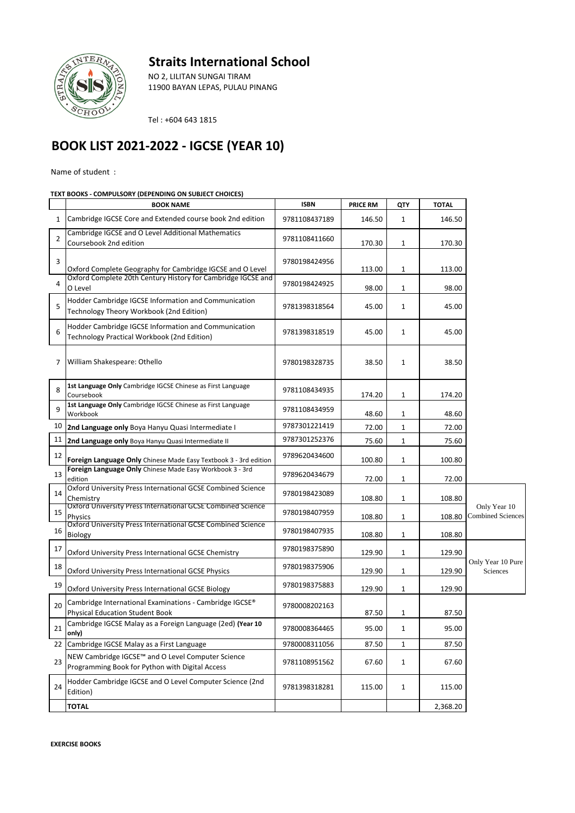## **Straits International School**



NO 2, LILITAN SUNGAI TIRAM 11900 BAYAN LEPAS, PULAU PINANG

Tel : +604 643 1815

## **BOOK LIST 2021-2022 - IGCSE (YEAR 10)**

Name of student :

## **TEXT BOOKS - COMPULSORY (DEPENDING ON SUBJECT CHOICES)**

|                | <b>BOOK NAME</b>                                                                                     | <b>ISBN</b>   | <b>PRICE RM</b> | QTY          | <b>TOTAL</b> |                                          |
|----------------|------------------------------------------------------------------------------------------------------|---------------|-----------------|--------------|--------------|------------------------------------------|
| 1              | Cambridge IGCSE Core and Extended course book 2nd edition                                            | 9781108437189 | 146.50          | 1            | 146.50       |                                          |
| $\overline{2}$ | Cambridge IGCSE and O Level Additional Mathematics<br>Coursebook 2nd edition                         | 9781108411660 | 170.30          | 1            | 170.30       |                                          |
| 3              | Oxford Complete Geography for Cambridge IGCSE and O Level                                            | 9780198424956 | 113.00          | 1            | 113.00       |                                          |
| 4              | Oxford Complete 20th Century History for Cambridge IGCSE and<br>O Level                              | 9780198424925 | 98.00           | 1            | 98.00        |                                          |
| 5              | Hodder Cambridge IGCSE Information and Communication<br>Technology Theory Workbook (2nd Edition)     | 9781398318564 | 45.00           | $\mathbf{1}$ | 45.00        |                                          |
| 6              | Hodder Cambridge IGCSE Information and Communication<br>Technology Practical Workbook (2nd Edition)  | 9781398318519 | 45.00           | $\mathbf{1}$ | 45.00        |                                          |
| 7              | William Shakespeare: Othello                                                                         | 9780198328735 | 38.50           | 1            | 38.50        |                                          |
| 8              | 1st Language Only Cambridge IGCSE Chinese as First Language<br>Coursebook                            | 9781108434935 | 174.20          | 1            | 174.20       |                                          |
| 9              | 1st Language Only Cambridge IGCSE Chinese as First Language<br>Workbook                              | 9781108434959 | 48.60           | 1            | 48.60        |                                          |
| 10             | 2nd Language only Boya Hanyu Quasi Intermediate I                                                    | 9787301221419 | 72.00           | $\mathbf{1}$ | 72.00        |                                          |
| 11             | 2nd Language only Boya Hanyu Quasi Intermediate II                                                   | 9787301252376 | 75.60           | 1            | 75.60        |                                          |
| 12             | Foreign Language Only Chinese Made Easy Textbook 3 - 3rd edition                                     | 9789620434600 | 100.80          | 1            | 100.80       |                                          |
| 13             | Foreign Language Only Chinese Made Easy Workbook 3 - 3rd<br>edition                                  | 9789620434679 | 72.00           | 1            | 72.00        |                                          |
| 14             | Oxford University Press International GCSE Combined Science<br>Chemistry                             | 9780198423089 | 108.80          | 1            | 108.80       |                                          |
| 15             | Oxford University Press International GCSE Combined Science<br><b>Physics</b>                        | 9780198407959 | 108.80          | 1            | 108.80       | Only Year 10<br><b>Combined Sciences</b> |
| 16             | Oxford University Press International GCSE Combined Science<br>Biology                               | 9780198407935 | 108.80          | 1            | 108.80       |                                          |
| 17             | Oxford University Press International GCSE Chemistry                                                 | 9780198375890 | 129.90          | 1            | 129.90       |                                          |
| 18             | Oxford University Press International GCSE Physics                                                   | 9780198375906 | 129.90          | 1            | 129.90       | Only Year 10 Pure<br>Sciences            |
| 19             | Oxford University Press International GCSE Biology                                                   | 9780198375883 | 129.90          | 1            | 129.90       |                                          |
| 20             | Cambridge International Examinations - Cambridge IGCSE®<br><b>Physical Education Student Book</b>    | 9780008202163 | 87.50           | 1            | 87.50        |                                          |
| 21             | Cambridge IGCSE Malay as a Foreign Language (2ed) (Year 10<br>only)                                  | 9780008364465 | 95.00           | 1            | 95.00        |                                          |
|                | 22 Cambridge IGCSE Malay as a First Language                                                         | 9780008311056 | 87.50           | $\mathbf{1}$ | 87.50        |                                          |
| 23             | NEW Cambridge IGCSE™ and O Level Computer Science<br>Programming Book for Python with Digital Access | 9781108951562 | 67.60           | $\mathbf{1}$ | 67.60        |                                          |
| 24             | Hodder Cambridge IGCSE and O Level Computer Science (2nd<br>Edition)                                 | 9781398318281 | 115.00          | 1            | 115.00       |                                          |
|                | <b>TOTAL</b>                                                                                         |               |                 |              | 2,368.20     |                                          |